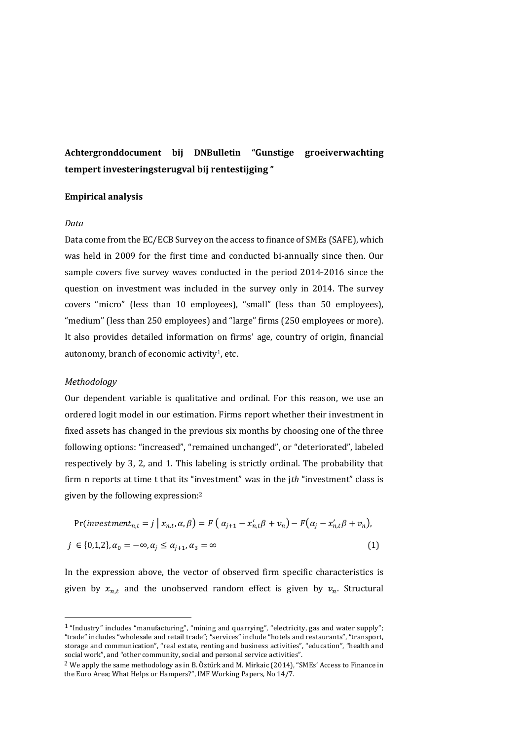# Achtergronddocument bij DNBulletin "Gunstige groeiverwachting tempert investeringsterugval bij rentestijging "

### Empirical analysis

#### Data

Data come from the EC/ECB Survey on the access to finance of SMEs (SAFE), which was held in 2009 for the first time and conducted bi-annually since then. Our sample covers five survey waves conducted in the period 2014-2016 since the question on investment was included in the survey only in 2014. The survey covers "micro" (less than 10 employees), "small" (less than 50 employees), "medium" (less than 250 employees) and "large" firms (250 employees or more). It also provides detailed information on firms' age, country of origin, financial autonomy, branch of economic activity1, etc.

#### Methodology

 $\overline{a}$ 

Our dependent variable is qualitative and ordinal. For this reason, we use an ordered logit model in our estimation. Firms report whether their investment in fixed assets has changed in the previous six months by choosing one of the three following options: "increased", "remained unchanged", or "deteriorated", labeled respectively by 3, 2, and 1. This labeling is strictly ordinal. The probability that firm n reports at time t that its "investment" was in the jth "investment" class is given by the following expression:<sup>2</sup>

$$
\Pr(\text{investment}_{n,t} = j \mid x_{n,t}, \alpha, \beta) = F\left(\alpha_{j+1} - x'_{n,t}\beta + v_n\right) - F\left(\alpha_j - x'_{n,t}\beta + v_n\right),
$$
\n
$$
j \in \{0, 1, 2\}, \alpha_0 = -\infty, \alpha_j \le \alpha_{j+1}, \alpha_3 = \infty \tag{1}
$$

In the expression above, the vector of observed firm specific characteristics is given by  $x_{n,t}$  and the unobserved random effect is given by  $v_n$ . Structural

<sup>1</sup> "Industry" includes "manufacturing", "mining and quarrying", "electricity, gas and water supply"; "trade" includes "wholesale and retail trade"; "services" include "hotels and restaurants", "transport, storage and communication", "real estate, renting and business activities", "education", "health and social work", and "other community, social and personal service activities".

 $2$  We apply the same methodology as in B. Öztürk and M. Mirkaic (2014), "SMEs' Access to Finance in the Euro Area; What Helps or Hampers?", IMF Working Papers, No 14/7.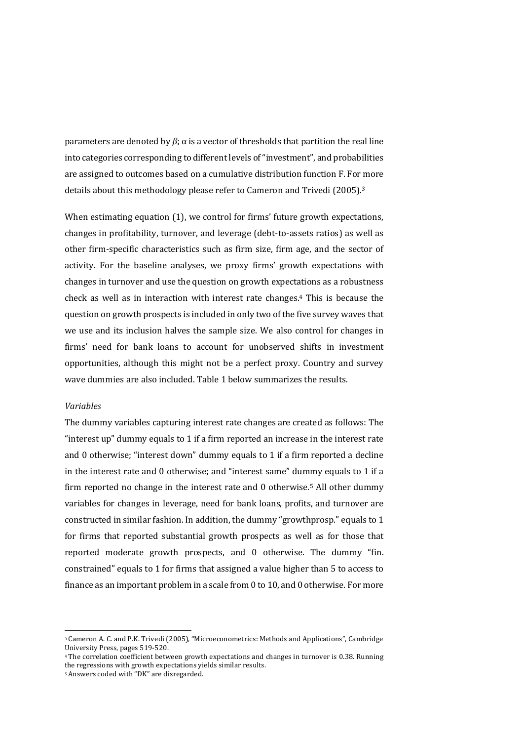parameters are denoted by  $β$ ; α is a vector of thresholds that partition the real line into categories corresponding to different levels of "investment", and probabilities are assigned to outcomes based on a cumulative distribution function F. For more details about this methodology please refer to Cameron and Trivedi (2005).<sup>3</sup>

When estimating equation (1), we control for firms' future growth expectations, changes in profitability, turnover, and leverage (debt-to-assets ratios) as well as other firm-specific characteristics such as firm size, firm age, and the sector of activity. For the baseline analyses, we proxy firms' growth expectations with changes in turnover and use the question on growth expectations as a robustness check as well as in interaction with interest rate changes.4 This is because the question on growth prospects is included in only two of the five survey waves that we use and its inclusion halves the sample size. We also control for changes in firms' need for bank loans to account for unobserved shifts in investment opportunities, although this might not be a perfect proxy. Country and survey wave dummies are also included. Table 1 below summarizes the results.

## Variables

 $\overline{\phantom{a}}$ 

The dummy variables capturing interest rate changes are created as follows: The "interest up" dummy equals to 1 if a firm reported an increase in the interest rate and 0 otherwise; "interest down" dummy equals to 1 if a firm reported a decline in the interest rate and 0 otherwise; and "interest same" dummy equals to 1 if a firm reported no change in the interest rate and 0 otherwise.5 All other dummy variables for changes in leverage, need for bank loans, profits, and turnover are constructed in similar fashion. In addition, the dummy "growthprosp." equals to 1 for firms that reported substantial growth prospects as well as for those that reported moderate growth prospects, and 0 otherwise. The dummy "fin. constrained" equals to 1 for firms that assigned a value higher than 5 to access to finance as an important problem in a scale from 0 to 10, and 0 otherwise. For more

<sup>3</sup> Cameron A. C. and P.K. Trivedi (2005), "Microeconometrics: Methods and Applications", Cambridge University Press, pages 519-520.

<sup>4</sup> The correlation coefficient between growth expectations and changes in turnover is 0.38. Running the regressions with growth expectations yields similar results.

<sup>5</sup> Answers coded with "DK" are disregarded.